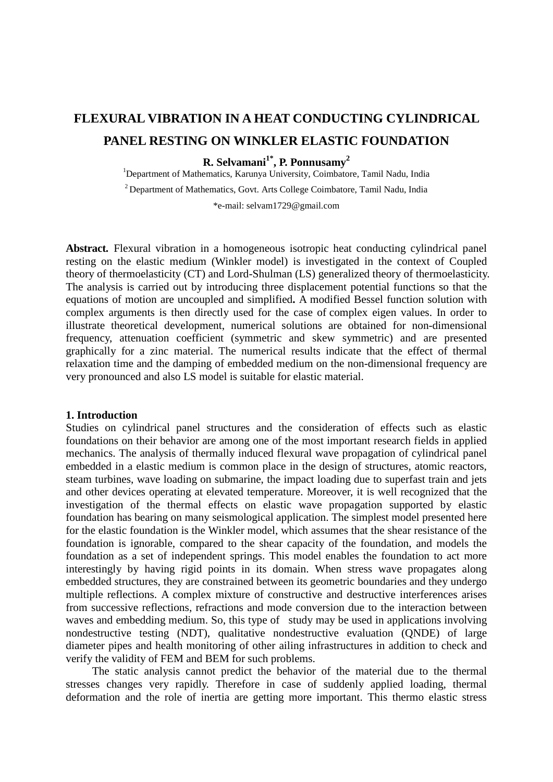# **FLEXURAL VIBRATION IN A HEAT CONDUCTING CYLINDRICAL PANEL RESTING ON WINKLER ELASTIC FOUNDATION**

# **R. Selvamani1\*, P. Ponnusamy2**

<sup>1</sup>Department of Mathematics, Karunya University, Coimbatore, Tamil Nadu, India

2 Department of Mathematics, Govt. Arts College Coimbatore, Tamil Nadu, India

\*e-mail: selvam1729@gmail.com

**Abstract.** Flexural vibration in a homogeneous isotropic heat conducting cylindrical panel resting on the elastic medium (Winkler model) is investigated in the context of Coupled theory of thermoelasticity (CT) and Lord-Shulman (LS) generalized theory of thermoelasticity. The analysis is carried out by introducing three displacement potential functions so that the equations of motion are uncoupled and simplified**.** A modified Bessel function solution with complex arguments is then directly used for the case of complex eigen values. In order to illustrate theoretical development, numerical solutions are obtained for non-dimensional frequency, attenuation coefficient (symmetric and skew symmetric) and are presented graphically for a zinc material. The numerical results indicate that the effect of thermal relaxation time and the damping of embedded medium on the non-dimensional frequency are very pronounced and also LS model is suitable for elastic material.

### **1. Introduction**

Studies on cylindrical panel structures and the consideration of effects such as elastic foundations on their behavior are among one of the most important research fields in applied mechanics. The analysis of thermally induced flexural wave propagation of cylindrical panel embedded in a elastic medium is common place in the design of structures, atomic reactors, steam turbines, wave loading on submarine, the impact loading due to superfast train and jets and other devices operating at elevated temperature. Moreover, it is well recognized that the investigation of the thermal effects on elastic wave propagation supported by elastic foundation has bearing on many seismological application. The simplest model presented here for the elastic foundation is the Winkler model, which assumes that the shear resistance of the foundation is ignorable, compared to the shear capacity of the foundation, and models the foundation as a set of independent springs. This model enables the foundation to act more interestingly by having rigid points in its domain. When stress wave propagates along embedded structures, they are constrained between its geometric boundaries and they undergo multiple reflections. A complex mixture of constructive and destructive interferences arises from successive reflections, refractions and mode conversion due to the interaction between waves and embedding medium. So, this type of study may be used in applications involving nondestructive testing (NDT), qualitative nondestructive evaluation (QNDE) of large diameter pipes and health monitoring of other ailing infrastructures in addition to check and verify the validity of FEM and BEM for such problems.

The static analysis cannot predict the behavior of the material due to the thermal stresses changes very rapidly. Therefore in case of suddenly applied loading, thermal deformation and the role of inertia are getting more important. This thermo elastic stress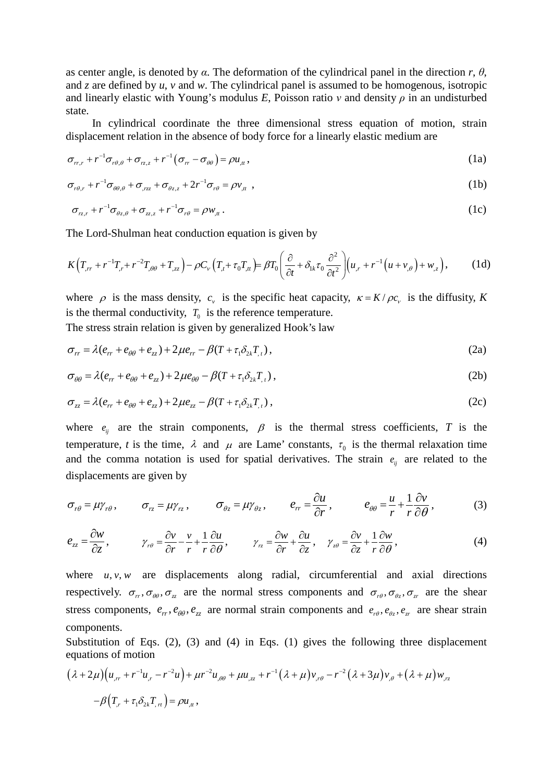as center angle, is denoted by  $\alpha$ . The deformation of the cylindrical panel in the direction  $r$ ,  $\theta$ , and *z* are defined by *u*, *v* and *w*. The cylindrical panel is assumed to be homogenous, isotropic and linearly elastic with Young's modulus *E*, Poisson ratio  $\nu$  and density  $\rho$  in an undisturbed state.

In cylindrical coordinate the three dimensional stress equation of motion, strain displacement relation in the absence of body force for a linearly elastic medium are

$$
\sigma_{rr,r} + r^{-1}\sigma_{r\theta,\theta} + \sigma_{rz,z} + r^{-1}(\sigma_{rr} - \sigma_{\theta\theta}) = \rho u_{tt},
$$
\n(1a)

$$
\sigma_{r\theta,r} + r^{-1}\sigma_{\theta\theta,\theta} + \sigma_{rzz} + \sigma_{\theta z,z} + 2r^{-1}\sigma_{r\theta} = \rho v_{tt}, \qquad (1b)
$$

$$
\sigma_{r_{z,r}} + r^{-1}\sigma_{\theta_{z,\theta}} + \sigma_{zz,z} + r^{-1}\sigma_{r\theta} = \rho w_{,\mu} \,. \tag{1c}
$$

The Lord-Shulman heat conduction equation is given by

$$
K(T_{,rr}+r^{-1}T_{,r}+r^{-2}T_{,\theta\theta}+T_{,zz})-\rho C_{\nu}\left(T_{,r}+\tau_{0}T_{,tt}\right)=\beta T_{0}\left(\frac{\partial}{\partial t}+\delta_{1k}\tau_{0}\frac{\partial^{2}}{\partial t^{2}}\right)\left(u_{,r}+r^{-1}\left(u+v_{,\theta}\right)+w_{,z}\right),\qquad(1d)
$$

where  $\rho$  is the mass density,  $c_v$  is the specific heat capacity,  $\kappa = K / \rho c_v$  is the diffusity, *K* is the thermal conductivity,  $T_0$  is the reference temperature.

The stress strain relation is given by generalized Hook's law

$$
\sigma_{rr} = \lambda (e_{rr} + e_{\theta\theta} + e_{zz}) + 2\mu e_{rr} - \beta (T + \tau_1 \delta_{2k} T_{,t}),
$$
\n(2a)

$$
\sigma_{\theta\theta} = \lambda (e_{rr} + e_{\theta\theta} + e_{zz}) + 2\mu e_{\theta\theta} - \beta (T + \tau_1 \delta_{2k} T_{,t}),
$$
\n(2b)

$$
\sigma_{zz} = \lambda (e_{rr} + e_{\theta\theta} + e_{zz}) + 2\mu e_{zz} - \beta (T + \tau_1 \delta_{2k} T_{,t}),
$$
\n(2c)

where  $e_{ij}$  are the strain components,  $\beta$  is the thermal stress coefficients, *T* is the temperature, *t* is the time,  $\lambda$  and  $\mu$  are Lame' constants,  $\tau_0$  is the thermal relaxation time and the comma notation is used for spatial derivatives. The strain  $e_{ij}$  are related to the displacements are given by

$$
\sigma_{r\theta} = \mu \gamma_{r\theta}, \qquad \sigma_{rz} = \mu \gamma_{rz}, \qquad \sigma_{\theta z} = \mu \gamma_{\theta z}, \qquad e_{rr} = \frac{\partial u}{\partial r}, \qquad e_{\theta \theta} = \frac{u}{r} + \frac{1}{r} \frac{\partial v}{\partial \theta}, \qquad (3)
$$

$$
e_{zz} = \frac{\partial w}{\partial z}, \qquad \gamma_{r\theta} = \frac{\partial v}{\partial r} - \frac{v}{r} + \frac{1}{r} \frac{\partial u}{\partial \theta}, \qquad \gamma_{rz} = \frac{\partial w}{\partial r} + \frac{\partial u}{\partial z}, \qquad \gamma_{z\theta} = \frac{\partial v}{\partial z} + \frac{1}{r} \frac{\partial w}{\partial \theta}, \tag{4}
$$

where  $u, v, w$  are displacements along radial, circumferential and axial directions respectively.  $\sigma_r$ ,  $\sigma_{\theta\theta}$ ,  $\sigma_z$  are the normal stress components and  $\sigma_{r\theta}$ ,  $\sigma_{\theta_z}$ ,  $\sigma_x$  are the shear stress components,  $e_r$ ,  $e_{\theta\theta}$ ,  $e_z$  are normal strain components and  $e_{r\theta}$ ,  $e_{\theta z}$ ,  $e_x$  are shear strain components.

Substitution of Eqs. (2), (3) and (4) in Eqs. (1) gives the following three displacement equations of motion

$$
(\lambda + 2\mu)\left(u_{,rr} + r^{-1}u_{,r} - r^{-2}u\right) + \mu r^{-2}u_{,\theta\theta} + \mu u_{,zz} + r^{-1}(\lambda + \mu)v_{,\theta} - r^{-2}(\lambda + 3\mu)v_{,\theta} + (\lambda + \mu)w_{,rz}
$$

$$
-\beta\left(T_{,r} + \tau_{1}\delta_{2k}T_{,rr}\right) = \rho u_{,tt},
$$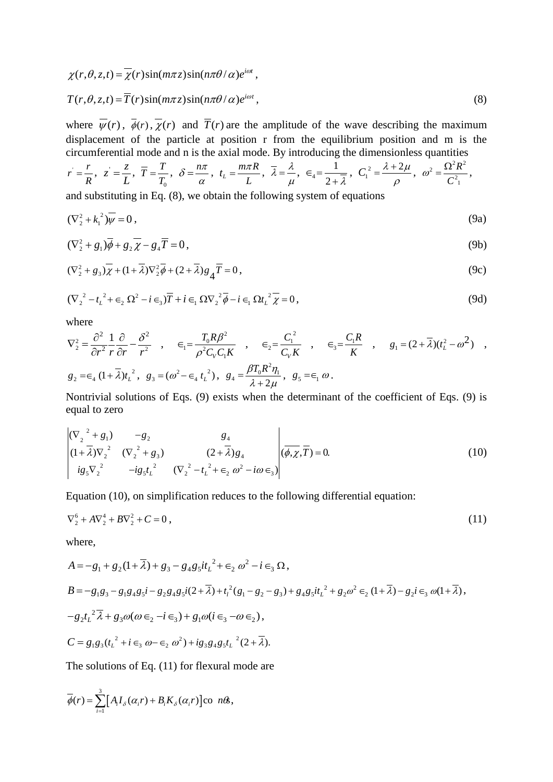$$
\chi(r,\theta,z,t) = \overline{\chi}(r)\sin(m\pi z)\sin(n\pi\theta/\alpha)e^{i\omega t},
$$

$$
T(r,\theta,z,t) = \overline{T}(r)\sin(m\pi z)\sin(n\pi\theta/\alpha)e^{i\omega t},
$$
\n(8)

where  $\overline{\psi}(r)$ ,  $\overline{\phi}(r)$ ,  $\overline{\chi}(r)$  and  $\overline{T}(r)$  are the amplitude of the wave describing the maximum displacement of the particle at position r from the equilibrium position and m is the circumferential mode and n is the axial mode. By introducing the dimensionless quantities

$$
r=\frac{r}{R}, z=\frac{z}{L}, \overline{T}=\frac{T}{T_0}, \delta=\frac{n\pi}{\alpha}, t_L=\frac{m\pi R}{L}, \overline{\lambda}=\frac{\lambda}{\mu}, \epsilon_4=\frac{1}{2+\overline{\lambda}}, C_1^2=\frac{\lambda+2\mu}{\rho}, \omega^2=\frac{\Omega^2 R^2}{C_1^2},
$$

and substituting in Eq. (8), we obtain the following system of equations

$$
(\nabla_2^2 + k_1^2)\overline{\psi} = 0\,,\tag{9a}
$$

$$
(\nabla_2^2 + g_1)\overline{\phi} + g_2\overline{\chi} - g_4\overline{T} = 0, \qquad (9b)
$$

$$
(\nabla_2^2 + g_3)\overline{\chi} + (1 + \overline{\lambda})\nabla_2^2 \overline{\phi} + (2 + \overline{\lambda})g_4 \overline{T} = 0,
$$
\n(9c)

$$
(\nabla_2^2 - t_L^2 + \epsilon_2 \Omega^2 - i \epsilon_3) \overline{T} + i \epsilon_1 \Omega \nabla_2^2 \overline{\phi} - i \epsilon_1 \Omega t_L^2 \overline{\chi} = 0,
$$
\n(9d)

where

$$
\nabla_2^2 = \frac{\partial^2}{\partial r^2} \frac{1}{r} \frac{\partial}{\partial r} - \frac{\partial^2}{r^2} , \quad \epsilon_1 = \frac{T_0 R \beta^2}{\rho^2 C_V C_1 K} , \quad \epsilon_2 = \frac{C_1^2}{C_V K} , \quad \epsilon_3 = \frac{C_1 R}{K} , \quad g_1 = (2 + \overline{\lambda})(t_L^2 - \omega^2) ,
$$
  

$$
g_2 = \epsilon_4 (1 + \overline{\lambda}) t_L^2 , \quad g_3 = (\omega^2 - \epsilon_4 t_L^2), \quad g_4 = \frac{\beta T_0 R^2 \eta_1}{\lambda + 2 \mu}, \quad g_5 = \epsilon_1 \omega.
$$

Nontrivial solutions of Eqs. (9) exists when the determinant of the coefficient of Eqs. (9) is equal to zero

$$
\begin{vmatrix}\n(\nabla_2^2 + g_1) & -g_2 & g_4 \\
(1 + \overline{\lambda})\nabla_2^2 & (\nabla_2^2 + g_3) & (2 + \overline{\lambda})g_4 \\
ig_5\nabla_2^2 & -ig_5t_L^2 & (\nabla_2^2 - t_L^2 + \epsilon_2 \omega^2 - i\omega \epsilon_3)\n\end{vmatrix} \stackrel{def}{(\phi, \chi, T)} = 0.
$$
\n(10)

Equation (10), on simplification reduces to the following differential equation:

$$
\nabla_2^6 + A \nabla_2^4 + B \nabla_2^2 + C = 0 \,, \tag{11}
$$

where,

$$
A = -g_1 + g_2(1 + \overline{\lambda}) + g_3 - g_4 g_5 i t_L^2 + \epsilon_2 \omega^2 - i \epsilon_3 \Omega,
$$
  
\n
$$
B = -g_1 g_3 - g_1 g_4 g_5 i - g_2 g_4 g_5 i (2 + \overline{\lambda}) + t_l^2 (g_1 - g_2 - g_3) + g_4 g_5 i t_L^2 + g_2 \omega^2 \epsilon_2 (1 + \overline{\lambda}) - g_2 i \epsilon_3 \omega (1 + \overline{\lambda}),
$$
  
\n
$$
-g_2 t_L^2 \overline{\lambda} + g_3 \omega (\omega \epsilon_2 - i \epsilon_3) + g_1 \omega (i \epsilon_3 - \omega \epsilon_2),
$$
  
\n
$$
C = g_1 g_3 (t_L^2 + i \epsilon_3 \omega - \epsilon_2 \omega^2) + i g_3 g_4 g_5 t_L^2 (2 + \overline{\lambda}).
$$

The solutions of Eq. (11) for flexural mode are

$$
\overline{\phi}(r) = \sum_{i=1}^{3} [A_i I_{\delta}(\alpha_i r) + B_i K_{\delta}(\alpha_i r)] \text{co } n\theta,
$$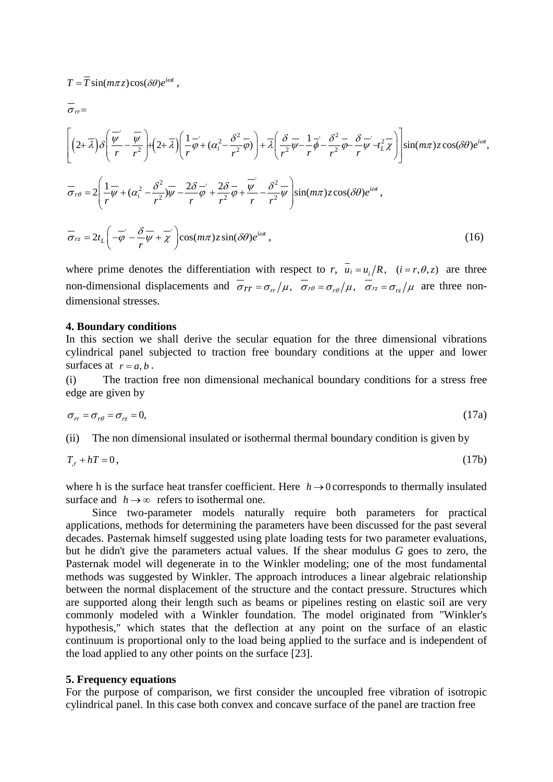$$
\overline{\sigma}_{rr} = \left[ \left( 2 + \overline{\lambda} \right) \delta \left( \frac{\overline{\psi}}{r} - \frac{\overline{\psi}}{r^2} \right) + \left( 2 + \overline{\lambda} \right) \left( \frac{1}{r} \overline{\phi} + (\alpha_i^2 - \frac{\delta^2}{r^2} \overline{\phi}) \right) + \overline{\lambda} \left( \frac{\delta}{r^2} \overline{\psi} - \frac{1}{r} \overline{\phi} - \frac{\delta^2}{r^2} \overline{\phi} - \frac{\delta}{r} \overline{\psi} - \frac{1}{r^2} \overline{\lambda} \right) \right] \sin(m\pi) z \cos(\delta\theta) e^{i\omega t},
$$
\n
$$
\overline{\sigma}_{r\theta} = 2 \left( \frac{1}{r} \overline{\psi} + (\alpha_i^2 - \frac{\delta^2}{r^2}) \overline{\psi} - \frac{2\delta}{r} \overline{\phi} + \frac{2\delta}{r^2} \overline{\phi} + \frac{\overline{\psi}}{r^2} - \frac{\delta^2}{r^2} \overline{\psi} \right) \sin(m\pi) z \cos(\delta\theta) e^{i\omega t},
$$
\n
$$
\overline{\sigma}_{rz} = 2t_L \left( -\overline{\phi} - \frac{\delta}{r} \overline{\psi} + \overline{\chi} \right) \cos(m\pi) z \sin(\delta\theta) e^{i\omega t}, \tag{16}
$$

where prime denotes the differentiation with respect to *r*,  $\overline{u_i} = u_i/R$ ,  $(i = r, \theta, z)$  are three non-dimensional displacements and  $\sigma_{rr} = \sigma_{rr}/\mu$ ,  $\sigma_{r\theta} = \sigma_{r\theta}/\mu$ ,  $\sigma_{rz} = \sigma_{rz}/\mu$  are three nondimensional stresses.

#### **4. Boundary conditions**

 $T = \overline{T} \sin(m\pi z) \cos(\delta\theta) e^{i\omega t}$ ,

In this section we shall derive the secular equation for the three dimensional vibrations cylindrical panel subjected to traction free boundary conditions at the upper and lower surfaces at  $r = a, b$ .

(i) The traction free non dimensional mechanical boundary conditions for a stress free edge are given by

$$
\sigma_{rr} = \sigma_{r\theta} = \sigma_{rz} = 0,\tag{17a}
$$

(ii) The non dimensional insulated or isothermal thermal boundary condition is given by

$$
T_r + hT = 0,\t\t(17b)
$$

where h is the surface heat transfer coefficient. Here  $h \rightarrow 0$  corresponds to thermally insulated surface and  $h \rightarrow \infty$  refers to isothermal one.

Since two-parameter models naturally require both parameters for practical applications, methods for determining the parameters have been discussed for the past several decades. Pasternak himself suggested using plate loading tests for two parameter evaluations, but he didn't give the parameters actual values. If the shear modulus *G* goes to zero, the Pasternak model will degenerate in to the Winkler modeling; one of the most fundamental methods was suggested by Winkler. The approach introduces a linear algebraic relationship between the normal displacement of the structure and the contact pressure. Structures which are supported along their length such as beams or pipelines resting on elastic soil are very commonly modeled with a Winkler foundation. The model originated from "Winkler's hypothesis," which states that the deflection at any point on the surface of an elastic continuum is proportional only to the load being applied to the surface and is independent of the load applied to any other points on the surface [23].

#### **5. Frequency equations**

For the purpose of comparison, we first consider the uncoupled free vibration of isotropic cylindrical panel. In this case both convex and concave surface of the panel are traction free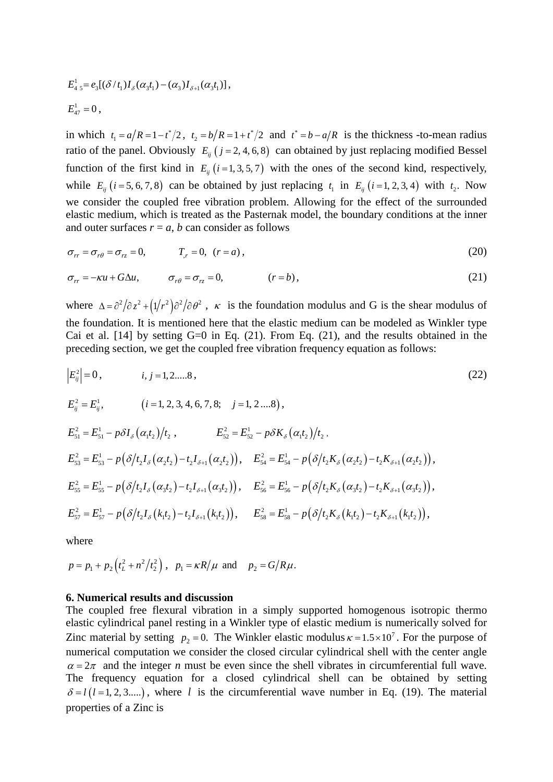$$
E_{4\,5}^1 = e_3[(\delta/t_1)I_{\delta}(\alpha_3t_1) - (\alpha_3)I_{\delta+1}(\alpha_3t_1)],
$$
  

$$
E_{47}^1 = 0,
$$

in which  $t_1 = a/R = 1 - t^2/2$ ,  $t_2 = b/R = 1 + t^2/2$  and  $t^* = b - a/R$  is the thickness -to-mean radius ratio of the panel. Obviously  $E_{ii}$  ( $j = 2, 4, 6, 8$ ) can obtained by just replacing modified Bessel function of the first kind in  $E_{ii}$  ( $i = 1, 3, 5, 7$ ) with the ones of the second kind, respectively, while  $E_{ij}$  ( $i = 5, 6, 7, 8$ ) can be obtained by just replacing  $t_1$  in  $E_{ij}$  ( $i = 1, 2, 3, 4$ ) with  $t_2$ . Now we consider the coupled free vibration problem. Allowing for the effect of the surrounded elastic medium, which is treated as the Pasternak model, the boundary conditions at the inner and outer surfaces  $r = a$ , *b* can consider as follows

$$
\sigma_{rr} = \sigma_{r\theta} = \sigma_{rz} = 0, \qquad T_{,r} = 0, \quad (r = a), \tag{20}
$$

$$
\sigma_{rr} = -\kappa u + G\Delta u, \qquad \sigma_{r\theta} = \sigma_{rz} = 0, \qquad (r = b), \qquad (21)
$$

where  $\Delta = \frac{\partial^2}{\partial z^2} + \left(\frac{1}{r^2}\right)\frac{\partial^2}{\partial \theta^2}$ ,  $\kappa$  is the foundation modulus and G is the shear modulus of the foundation. It is mentioned here that the elastic medium can be modeled as Winkler type Cai et al.  $[14]$  by setting  $G=0$  in Eq. (21). From Eq. (21), and the results obtained in the preceding section, we get the coupled free vibration frequency equation as follows:

$$
|E_{ij}^{2}| = 0, \t i, j = 1, 2, ..., 8,
$$
\n
$$
E_{ij}^{2} = E_{ij}^{1}, \t (i = 1, 2, 3, 4, 6, 7, 8; j = 1, 2, ..., 8),
$$
\n
$$
E_{51}^{2} = E_{51}^{1} - p \delta I_{\delta} (\alpha_{1}t_{2})/t_{2}, \t E_{52}^{2} = E_{52}^{1} - p \delta K_{\delta} (\alpha_{1}t_{2})/t_{2},
$$
\n
$$
E_{53}^{2} = E_{53}^{1} - p (\delta/t_{2}I_{\delta} (\alpha_{2}t_{2}) - t_{2}I_{\delta+1} (\alpha_{2}t_{2})), \t E_{54}^{2} = E_{54}^{1} - p (\delta/t_{2}K_{\delta} (\alpha_{2}t_{2}) - t_{2}K_{\delta+1} (\alpha_{2}t_{2})),
$$
\n
$$
E_{55}^{2} = E_{55}^{1} - p (\delta/t_{2}I_{\delta} (\alpha_{3}t_{2}) - t_{2}I_{\delta+1} (\alpha_{3}t_{2})), \t E_{56}^{2} = E_{56}^{1} - p (\delta/t_{2}K_{\delta} (\alpha_{3}t_{2}) - t_{2}K_{\delta+1} (\alpha_{3}t_{2})),
$$
\n
$$
E_{57}^{2} = E_{57}^{1} - p (\delta/t_{2}I_{\delta} (k_{1}t_{2}) - t_{2}I_{\delta+1} (k_{1}t_{2})), \t E_{58}^{2} = E_{58}^{1} - p (\delta/t_{2}K_{\delta} (k_{1}t_{2}) - t_{2}K_{\delta+1} (k_{1}t_{2})),
$$
\n(22)

where

$$
p = p_1 + p_2 \left(t_L^2 + n^2/t_2^2\right)
$$
,  $p_1 = \kappa R/\mu$  and  $p_2 = G/R\mu$ .

### **6. Numerical results and discussion**

The coupled free flexural vibration in a simply supported homogenous isotropic thermo elastic cylindrical panel resting in a Winkler type of elastic medium is numerically solved for Zinc material by setting  $p_2 = 0$ . The Winkler elastic modulus  $\kappa = 1.5 \times 10^7$ . For the purpose of numerical computation we consider the closed circular cylindrical shell with the center angle  $\alpha = 2\pi$  and the integer *n* must be even since the shell vibrates in circumferential full wave. The frequency equation for a closed cylindrical shell can be obtained by setting  $\delta = l(l = 1, 2, 3,...)$ , where *l* is the circumferential wave number in Eq. (19). The material properties of a Zinc is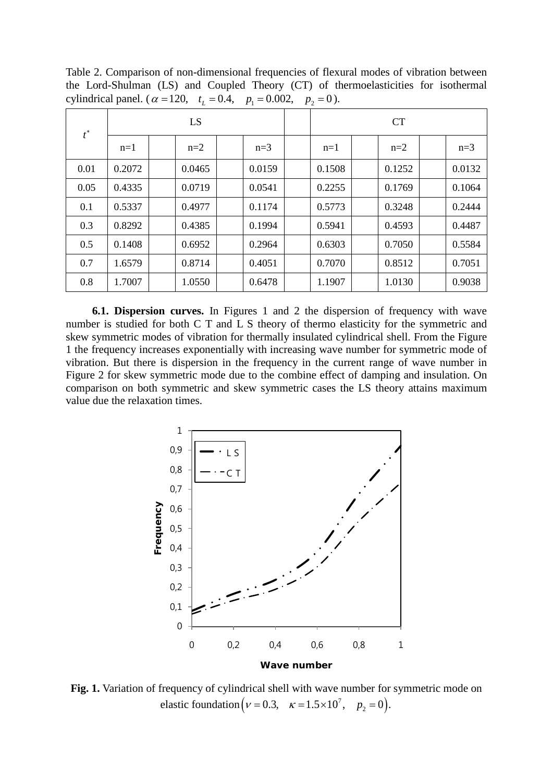Table 2. Comparison of non-dimensional frequencies of flexural modes of vibration between the Lord-Shulman (LS) and Coupled Theory (CT) of thermoelasticities for isothermal cylindrical panel. ( $\alpha = 120$ ,  $t_L = 0.4$ ,  $p_1 = 0.002$ ,  $p_2 = 0$ ).

| $t^*$ | <b>LS</b> |  |        |  |        | CT     |  |        |  |        |
|-------|-----------|--|--------|--|--------|--------|--|--------|--|--------|
|       | $n=1$     |  | $n=2$  |  | $n=3$  | $n=1$  |  | $n=2$  |  | $n=3$  |
| 0.01  | 0.2072    |  | 0.0465 |  | 0.0159 | 0.1508 |  | 0.1252 |  | 0.0132 |
| 0.05  | 0.4335    |  | 0.0719 |  | 0.0541 | 0.2255 |  | 0.1769 |  | 0.1064 |
| 0.1   | 0.5337    |  | 0.4977 |  | 0.1174 | 0.5773 |  | 0.3248 |  | 0.2444 |
| 0.3   | 0.8292    |  | 0.4385 |  | 0.1994 | 0.5941 |  | 0.4593 |  | 0.4487 |
| 0.5   | 0.1408    |  | 0.6952 |  | 0.2964 | 0.6303 |  | 0.7050 |  | 0.5584 |
| 0.7   | 1.6579    |  | 0.8714 |  | 0.4051 | 0.7070 |  | 0.8512 |  | 0.7051 |
| 0.8   | 1.7007    |  | 1.0550 |  | 0.6478 | 1.1907 |  | 1.0130 |  | 0.9038 |

**6.1. Dispersion curves.** In Figures 1 and 2 the dispersion of frequency with wave number is studied for both C T and L S theory of thermo elasticity for the symmetric and skew symmetric modes of vibration for thermally insulated cylindrical shell. From the Figure 1 the frequency increases exponentially with increasing wave number for symmetric mode of vibration. But there is dispersion in the frequency in the current range of wave number in Figure 2 for skew symmetric mode due to the combine effect of damping and insulation. On comparison on both symmetric and skew symmetric cases the LS theory attains maximum value due the relaxation times.



**Fig. 1.** Variation of frequency of cylindrical shell with wave number for symmetric mode on elastic foundation  $(v = 0.3, \kappa = 1.5 \times 10^7, p_2 = 0)$ .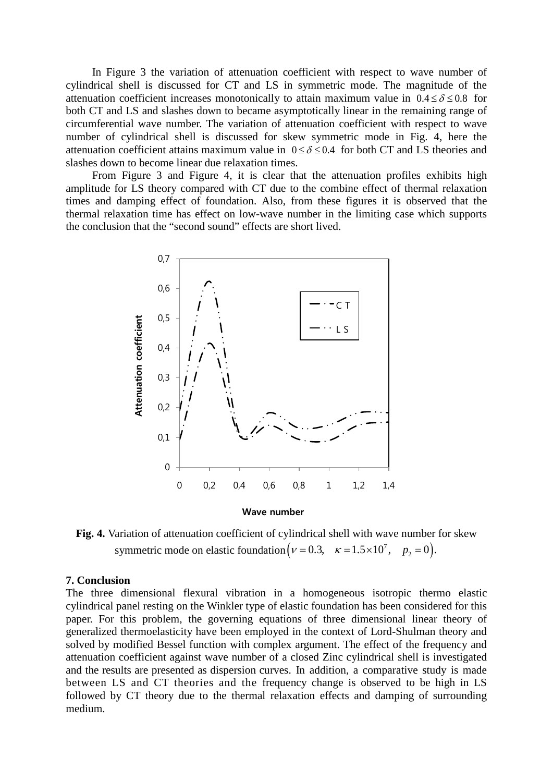In Figure 3 the variation of attenuation coefficient with respect to wave number of cylindrical shell is discussed for CT and LS in symmetric mode. The magnitude of the attenuation coefficient increases monotonically to attain maximum value in  $0.4 \le \delta \le 0.8$  for both CT and LS and slashes down to became asymptotically linear in the remaining range of circumferential wave number. The variation of attenuation coefficient with respect to wave number of cylindrical shell is discussed for skew symmetric mode in Fig. 4, here the attenuation coefficient attains maximum value in  $0 \le \delta \le 0.4$  for both CT and LS theories and slashes down to become linear due relaxation times.

From Figure 3 and Figure 4, it is clear that the attenuation profiles exhibits high amplitude for LS theory compared with CT due to the combine effect of thermal relaxation times and damping effect of foundation. Also, from these figures it is observed that the thermal relaxation time has effect on low-wave number in the limiting case which supports the conclusion that the "second sound" effects are short lived.



Fig. 4. Variation of attenuation coefficient of cylindrical shell with wave number for skew symmetric mode on elastic foundation  $(v = 0.3, \kappa = 1.5 \times 10^7, p_2 = 0)$ .

#### **7. Conclusion**

The three dimensional flexural vibration in a homogeneous isotropic thermo elastic cylindrical panel resting on the Winkler type of elastic foundation has been considered for this paper. For this problem, the governing equations of three dimensional linear theory of generalized thermoelasticity have been employed in the context of Lord-Shulman theory and solved by modified Bessel function with complex argument. The effect of the frequency and attenuation coefficient against wave number of a closed Zinc cylindrical shell is investigated and the results are presented as dispersion curves. In addition, a comparative study is made between LS and CT theories and the frequency change is observed to be high in LS followed by CT theory due to the thermal relaxation effects and damping of surrounding medium.